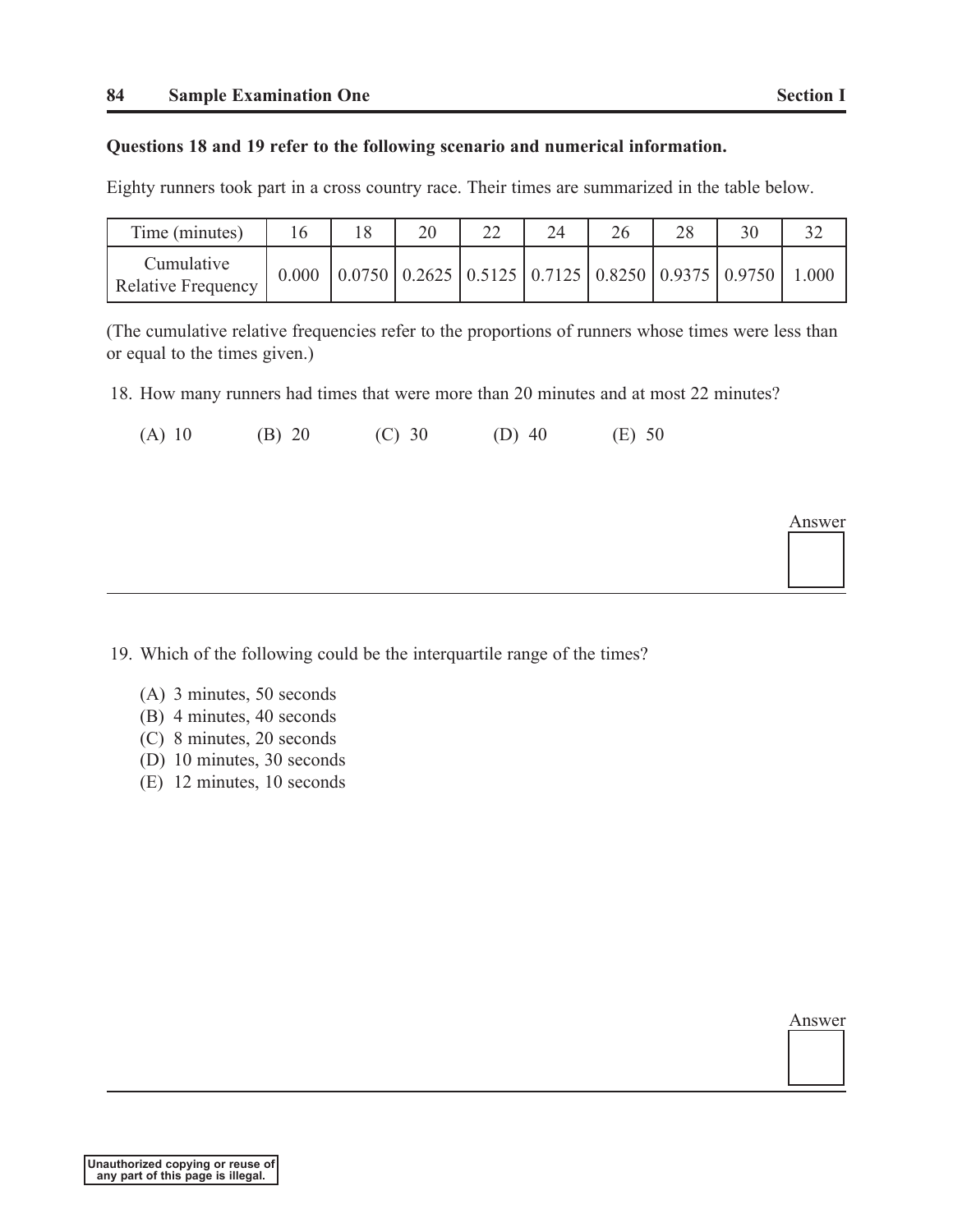Answer

## **Questions 18 and 19 refer to the following scenario and numerical information.**

Eighty runners took part in a cross country race. Their times are summarized in the table below.

| Time (minutes)                          | 8                                                                                                  | 20 | 24 | 26 | 28 | 30 |      |
|-----------------------------------------|----------------------------------------------------------------------------------------------------|----|----|----|----|----|------|
| Cumulative<br><b>Relative Frequency</b> | $\vert 0.0750 \vert 0.2625 \vert 0.5125 \vert 0.7125 \vert 0.8250 \vert 0.9375 \vert 0.9750 \vert$ |    |    |    |    |    | .000 |

(The cumulative relative frequencies refer to the proportions of runners whose times were less than or equal to the times given.)

18. How many runners had times that were more than 20 minutes and at most 22 minutes?

| (A) 10 | (B) 20 | (C) 30 | (D) $40$ | (E) 50 |
|--------|--------|--------|----------|--------|
|--------|--------|--------|----------|--------|

19. Which of the following could be the interquartile range of the times?

- (A) 3 minutes, 50 seconds
- (B) 4 minutes, 40 seconds
- (C) 8 minutes, 20 seconds
- (D) 10 minutes, 30 seconds
- (E) 12 minutes, 10 seconds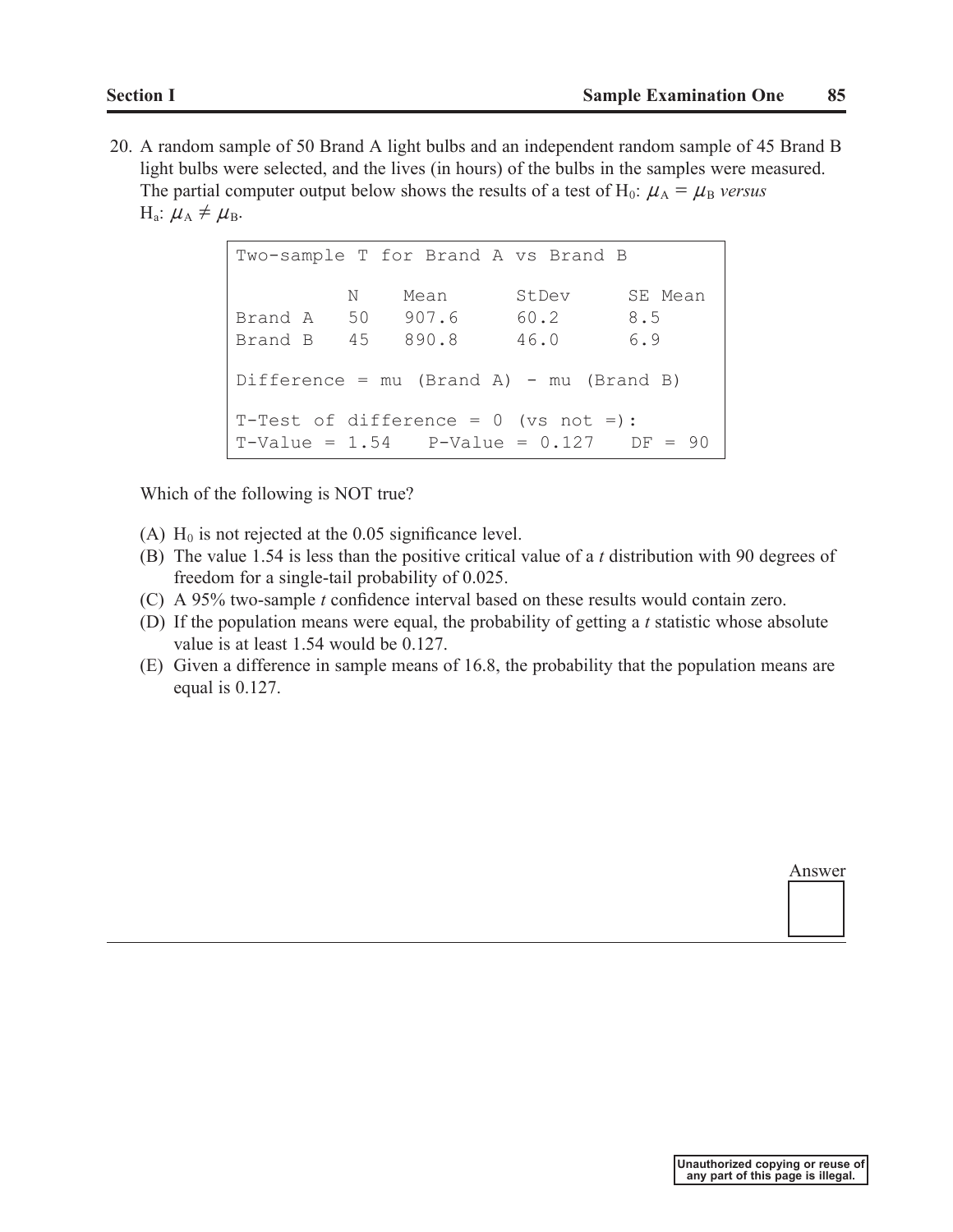20. A random sample of 50 Brand A light bulbs and an independent random sample of 45 Brand B light bulbs were selected, and the lives (in hours) of the bulbs in the samples were measured. The partial computer output below shows the results of a test of  $H_0$ :  $\mu_A = \mu_B$  versus H<sub>a</sub>:  $\mu_A \neq \mu_B$ .

> Two-sample T for Brand A vs Brand B N Mean StDev SE Mean Brand A 50 907.6 60.2 8.5 Brand B 45 890.8 46.0 6.9 Difference =  $mu$  (Brand A) -  $mu$  (Brand B) T-Test of difference =  $0$  (vs not =):  $T-Value = 1.54$   $P-Value = 0.127$   $DF = 90$

Which of the following is NOT true?

- (A)  $H_0$  is not rejected at the 0.05 significance level.
- (B) The value 1.54 is less than the positive critical value of a *t* distribution with 90 degrees of freedom for a single-tail probability of 0.025.
- (C) A 95% two-sample *t* confidence interval based on these results would contain zero.
- (D) If the population means were equal, the probability of getting a *t* statistic whose absolute value is at least 1.54 would be 0.127.
- (E) Given a difference in sample means of 16.8, the probability that the population means are equal is 0.127.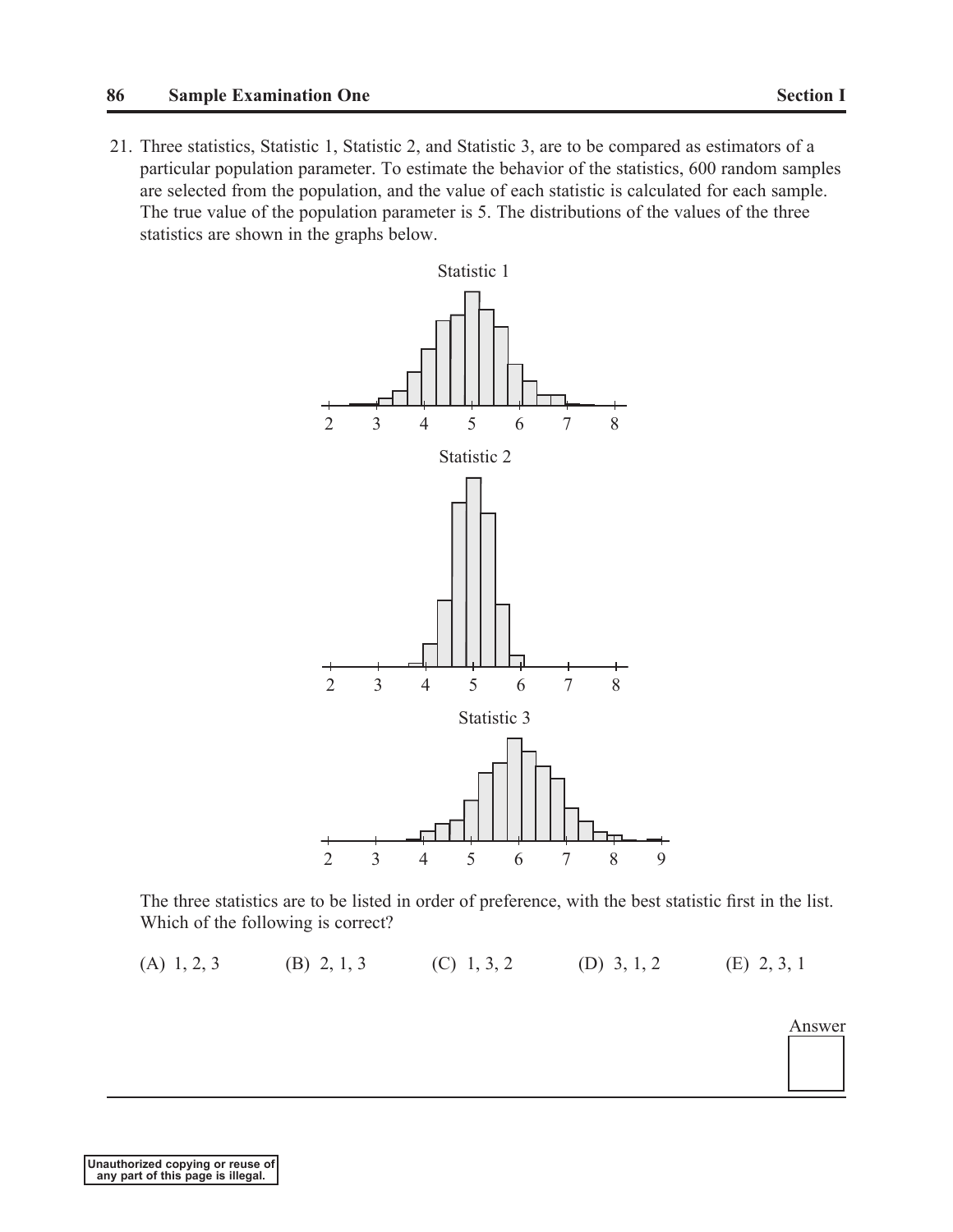## **86 Sample Examination One Section I**

21. Three statistics, Statistic 1, Statistic 2, and Statistic 3, are to be compared as estimators of a particular population parameter. To estimate the behavior of the statistics, 600 random samples are selected from the population, and the value of each statistic is calculated for each sample. The true value of the population parameter is 5. The distributions of the values of the three statistics are shown in the graphs below.



The three statistics are to be listed in order of preference, with the best statistic first in the list. Which of the following is correct?

(A) 1, 2, 3 (B) 2, 1, 3 (C) 1, 3, 2 (D) 3, 1, 2 (E) 2, 3, 1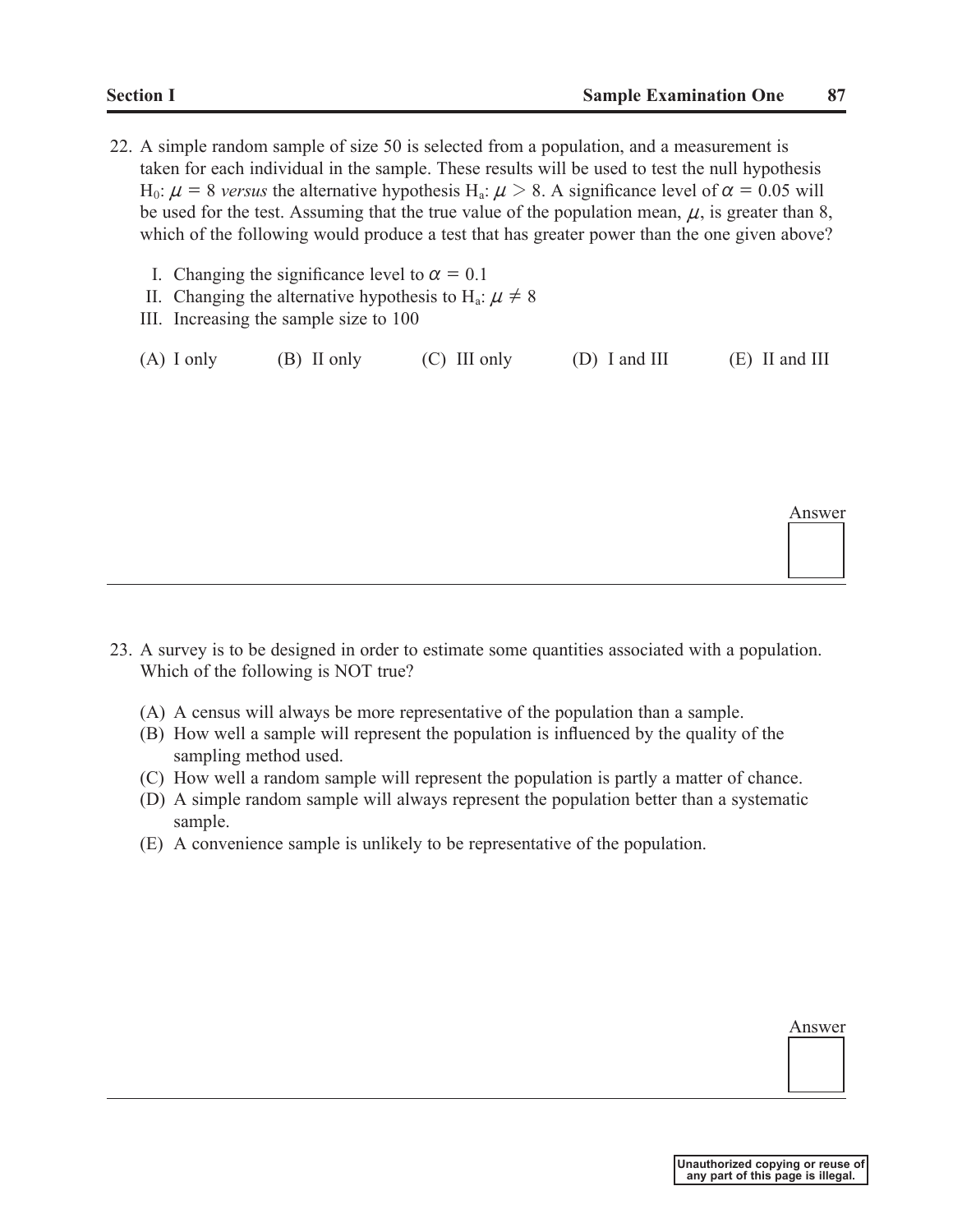- 22. A simple random sample of size 50 is selected from a population, and a measurement is taken for each individual in the sample. These results will be used to test the null hypothesis H<sub>0</sub>:  $\mu$  = 8 versus the alternative hypothesis H<sub>a</sub>:  $\mu$  > 8. A significance level of  $\alpha$  = 0.05 will be used for the test. Assuming that the true value of the population mean,  $\mu$ , is greater than 8, which of the following would produce a test that has greater power than the one given above?
	- I. Changing the significance level to  $\alpha = 0.1$
	- II. Changing the alternative hypothesis to H<sub>a</sub>:  $\mu \neq 8$
	- III. Increasing the sample size to 100

(A) I only (B) II only (C) III only (D) I and III (E) II and III

Answer

- 23. A survey is to be designed in order to estimate some quantities associated with a population. Which of the following is NOT true?
	- (A) A census will always be more representative of the population than a sample.
	- (B) How well a sample will represent the population is influenced by the quality of the sampling method used.
	- (C) How well a random sample will represent the population is partly a matter of chance.
	- (D) A simple random sample will always represent the population better than a systematic sample.
	- (E) A convenience sample is unlikely to be representative of the population.